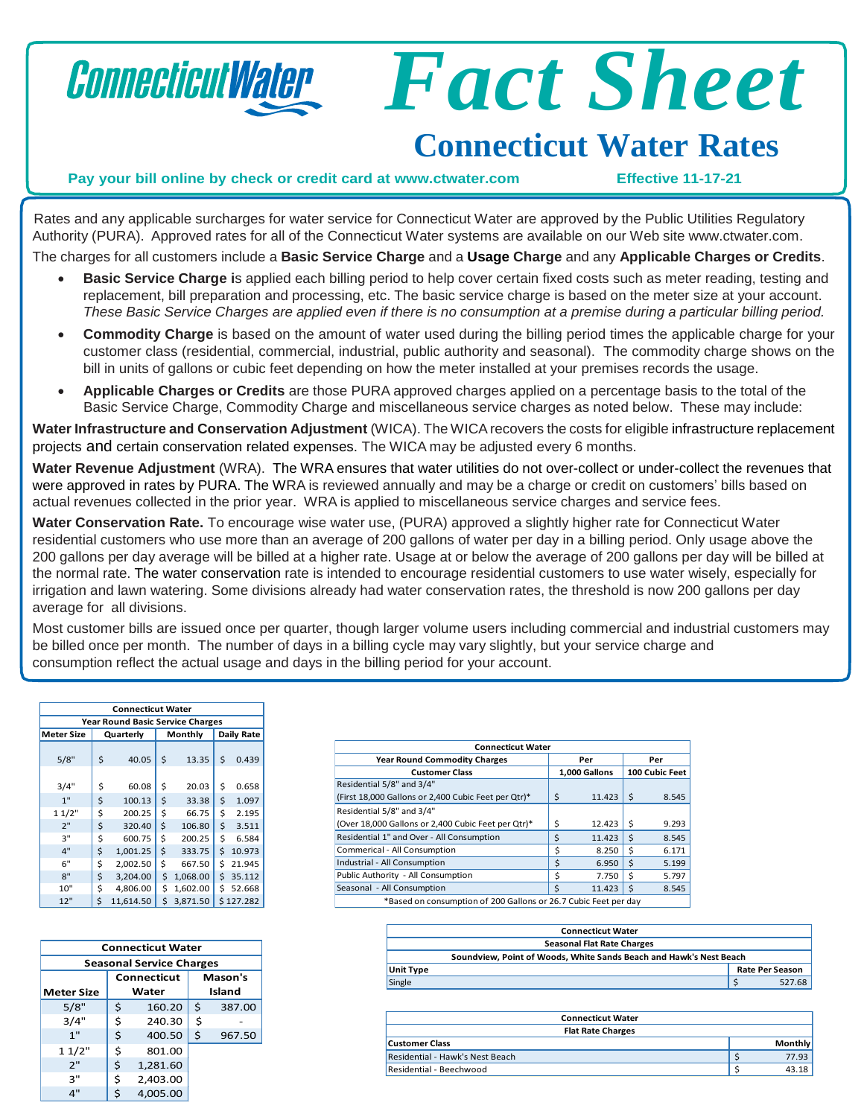## ConnecticutWater

# *Fact Sheet*

## **Connecticut Water Rates**

#### **Pay your bill online by check or credit card at [www.ctwater.com](http://www.ctwater.com/) Effective 11-17-21**

Rates and any applicable surcharges for water service for Connecticut Water are approved by the Public Utilities Regulatory Authority (PURA). Approved rates for all of the Connecticut Water systems are available on our Web site [www.ctwater.com.](http://www.ctwater.com/) The charges for all customers include a **Basic Service Charge** and a **Usage Charge** and any **Applicable Charges or Credits**.

- **Basic Service Charge i**s applied each billing period to help cover certain fixed costs such as meter reading, testing and replacement, bill preparation and processing, etc. The basic service charge is based on the meter size at your account. These Basic Service Charges are applied even if there is no consumption at a premise during a particular billing period.
- **Commodity Charge** is based on the amount of water used during the billing period times the applicable charge for your customer class (residential, commercial, industrial, public authority and seasonal). The commodity charge shows on the bill in units of gallons or cubic feet depending on how the meter installed at your premises records the usage.
- **Applicable Charges or Credits** are those PURA approved charges applied on a percentage basis to the total of the Basic Service Charge, Commodity Charge and miscellaneous service charges as noted below. These may include:

**Water Infrastructure and Conservation Adjustment** (WICA). The WICArecovers the costs for eligible infrastructure replacement projects and certain conservation related expenses. The WICA may be adjusted every 6 months.

**Water Revenue Adjustment** (WRA). The WRA ensures that water utilities do not over-collect or under-collect the revenues that were approved in rates by PURA. The WRA is reviewed annually and may be a charge or credit on customers' bills based on actual revenues collected in the prior year. WRA is applied to miscellaneous service charges and service fees.

**Water Conservation Rate.** To encourage wise water use, (PURA) approved a slightly higher rate for Connecticut Water residential customers who use more than an average of 200 gallons of water per day in a billing period. Only usage above the 200 gallons per day average will be billed at a higher rate. Usage at or below the average of 200 gallons per day will be billed at the normal rate. The water conservation rate is intended to encourage residential customers to use water wisely, especially for irrigation and lawn watering. Some divisions already had water conservation rates, the threshold is now 200 gallons per day average for all divisions.

Most customer bills are issued once per quarter, though larger volume users including commercial and industrial customers may be billed once per month. The number of days in a billing cycle may vary slightly, but your service charge and consumption reflect the actual usage and days in the billing period for your account.

| <b>Connecticut Water</b>                |           |           |         |          |                   |           |  |
|-----------------------------------------|-----------|-----------|---------|----------|-------------------|-----------|--|
| <b>Year Round Basic Service Charges</b> |           |           |         |          |                   |           |  |
| <b>Meter Size</b>                       | Quarterly |           | Monthly |          | <b>Daily Rate</b> |           |  |
| 5/8"                                    | \$        | 40.05     | \$      | 13.35    | Ś                 | 0.439     |  |
| 3/4"                                    | \$        | 60.08     | \$      | 20.03    | \$                | 0.658     |  |
| 1"                                      | \$        | 100.13    | \$      | 33.38    | \$                | 1.097     |  |
| 11/2"                                   | \$        | 200.25    | \$      | 66.75    | \$                | 2.195     |  |
| 2"                                      | \$        | 320.40    | \$      | 106.80   | \$                | 3.511     |  |
| 3"                                      | \$        | 600.75    | \$      | 200.25   | Ś                 | 6.584     |  |
| 4"                                      | \$        | 1,001.25  | \$      | 333.75   | Ś                 | 10.973    |  |
| 6"                                      | \$        | 2,002.50  | \$      | 667.50   | Ś                 | 21.945    |  |
| 8"                                      | \$        | 3,204.00  | \$      | 1,068.00 | \$                | 35.112    |  |
| 10"                                     | \$        | 4,806.00  | \$      | 1,602.00 | Ś                 | 52.668    |  |
| 12"                                     | \$        | 11.614.50 | \$      | 3.871.50 |                   | \$127.282 |  |

| <b>Connecticut Water</b> |                                 |    |          |         |        |
|--------------------------|---------------------------------|----|----------|---------|--------|
|                          | <b>Seasonal Service Charges</b> |    |          |         |        |
| Connecticut              |                                 |    |          |         |        |
|                          |                                 |    |          | Mason's |        |
| <b>Meter Size</b>        |                                 |    | Water    |         | Island |
| 5/8"                     |                                 | \$ | 160.20   | \$      | 387.00 |
| 3/4"                     |                                 | \$ | 240.30   | \$      |        |
| 1"                       |                                 | \$ | 400.50   | \$      | 967.50 |
|                          |                                 |    |          |         |        |
| 11/2"                    |                                 | \$ | 801.00   |         |        |
| 2"                       |                                 | \$ | 1,281.60 |         |        |
| 3"                       |                                 | \$ | 2,403.00 |         |        |
| 4"                       |                                 | \$ | 4,005.00 |         |        |

| <b>Connecticut Water</b>                                        |    |               |                |       |  |  |
|-----------------------------------------------------------------|----|---------------|----------------|-------|--|--|
| <b>Year Round Commodity Charges</b>                             |    | Per           | Per            |       |  |  |
| <b>Customer Class</b>                                           |    | 1,000 Gallons | 100 Cubic Feet |       |  |  |
| Residential 5/8" and 3/4"                                       |    |               |                |       |  |  |
| (First 18,000 Gallons or 2,400 Cubic Feet per Qtr)*             | \$ | 11.423        | Ŝ.             | 8.545 |  |  |
| Residential 5/8" and 3/4"                                       |    |               |                |       |  |  |
| (Over 18,000 Gallons or 2,400 Cubic Feet per Qtr)*              | \$ | 12.423        | Ś              | 9.293 |  |  |
| Residential 1" and Over - All Consumption                       | \$ | 11.423        | Ś              | 8.545 |  |  |
| Commerical - All Consumption                                    | Ś  | 8.250         | Ŝ.             | 6.171 |  |  |
| Industrial - All Consumption                                    | Ś  | 6.950         | \$             | 5.199 |  |  |
| Public Authority - All Consumption                              | \$ | 7.750         | Ś              | 5.797 |  |  |
| Seasonal - All Consumption                                      | Ś  | 11.423        | Ŝ.             | 8.545 |  |  |
| *Based on consumption of 200 Gallons or 26.7 Cubic Feet per day |    |               |                |       |  |  |

| <b>Connecticut Water</b>                                           |                        |  |  |  |
|--------------------------------------------------------------------|------------------------|--|--|--|
| <b>Seasonal Flat Rate Charges</b>                                  |                        |  |  |  |
| Soundview, Point of Woods, White Sands Beach and Hawk's Nest Beach |                        |  |  |  |
| <b>Unit Type</b>                                                   | <b>Rate Per Season</b> |  |  |  |
| Single                                                             | 527.68                 |  |  |  |

| <b>Connecticut Water</b>        |  |                |  |  |
|---------------------------------|--|----------------|--|--|
| <b>Flat Rate Charges</b>        |  |                |  |  |
| <b>Customer Class</b>           |  | <b>Monthly</b> |  |  |
| Residential - Hawk's Nest Beach |  | 77.93          |  |  |
| Residential - Beechwood         |  | 43.18          |  |  |